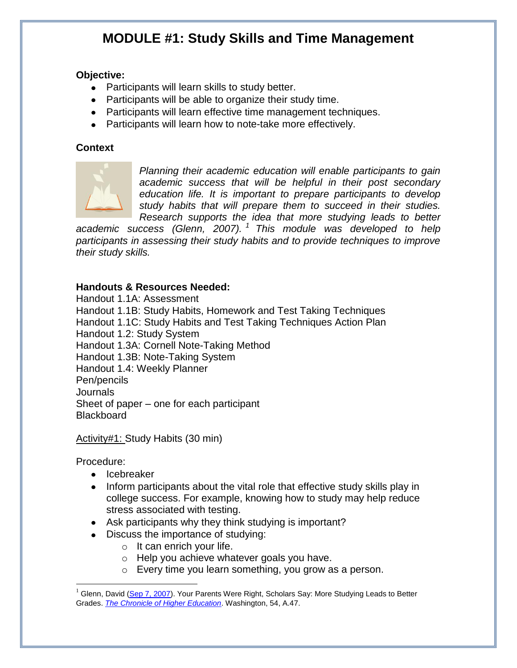# **MODULE #1: Study Skills and Time Management**

#### **Objective:**

- Participants will learn skills to study better.
- Participants will be able to organize their study time.
- Participants will learn effective time management techniques.
- Participants will learn how to note-take more effectively.

#### **Context**



*Planning their academic education will enable participants to gain academic success that will be helpful in their post secondary education life. It is important to prepare participants to develop study habits that will prepare them to succeed in their studies. Research supports the idea that more studying leads to better* 

*academic success (Glenn, 2007). <sup>1</sup> This module was developed to help participants in assessing their study habits and to provide techniques to improve their study skills.*

#### **Handouts & Resources Needed:**

Handout 1.1A: Assessment Handout 1.1B: Study Habits, Homework and Test Taking Techniques Handout 1.1C: Study Habits and Test Taking Techniques Action Plan Handout 1.2: Study System Handout 1.3A: Cornell Note-Taking Method Handout 1.3B: Note-Taking System Handout 1.4: Weekly Planner Pen/pencils Journals Sheet of paper – one for each participant **Blackboard** 

Activity#1: Study Habits (30 min)

Procedure:

- Icebreaker
- Inform participants about the vital role that effective study skills play in college success. For example, knowing how to study may help reduce stress associated with testing.
- Ask participants why they think studying is important?
- Discuss the importance of studying:
	- $\circ$  It can enrich your life.
	- o Help you achieve whatever goals you have.
	- o Every time you learn something, you grow as a person.

Glenn, David [\(Sep 7, 2007\)](http://proquest.umi.com.proxytr.wrlc.org/pqdweb?RQT=572&VType=PQD&VName=PQD&VInst=PROD&pmid=26258&pcid=36943101&SrchMode=3). Your Parents Were Right, Scholars Say: More Studying Leads to Better Grades. *[The Chronicle of Higher Education](http://proquest.umi.com.proxytr.wrlc.org/pqdweb?RQT=318&pmid=26258&TS=1221676213&clientId=43142&VInst=PROD&VName=PQD&VType=PQD)*. Washington, 54, A.47.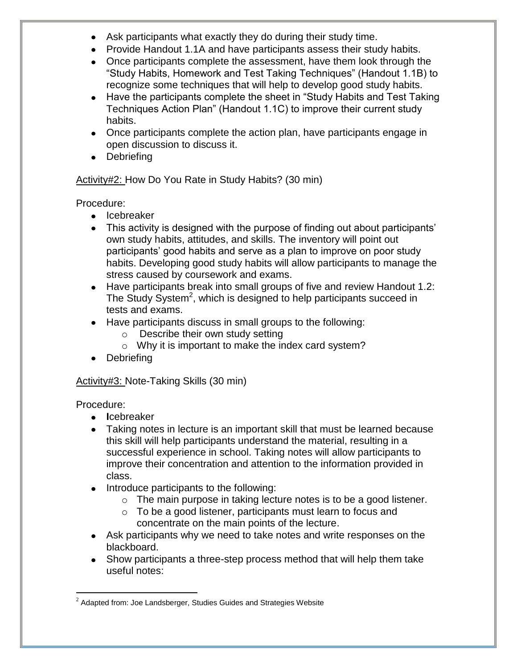- Ask participants what exactly they do during their study time.
- Provide Handout 1.1A and have participants assess their study habits.
- Once participants complete the assessment, have them look through the "Study Habits, Homework and Test Taking Techniques" (Handout 1.1B) to recognize some techniques that will help to develop good study habits.
- Have the participants complete the sheet in "Study Habits and Test Taking" Techniques Action Plan" (Handout 1.1C) to improve their current study habits.
- Once participants complete the action plan, have participants engage in open discussion to discuss it.
- Debriefing

Activity#2: How Do You Rate in Study Habits? (30 min)

Procedure:

- Icebreaker
- This activity is designed with the purpose of finding out about participants' own study habits, attitudes, and skills. The inventory will point out participants' good habits and serve as a plan to improve on poor study habits. Developing good study habits will allow participants to manage the stress caused by coursework and exams.
- Have participants break into small groups of five and review Handout 1.2: The Study System<sup>2</sup>, which is designed to help participants succeed in tests and exams.
- Have participants discuss in small groups to the following:
	- o Describe their own study setting
	- o Why it is important to make the index card system?
- Debriefing

## Activity#3: Note-Taking Skills (30 min)

Procedure:

- **I**cebreaker
- Taking notes in lecture is an important skill that must be learned because this skill will help participants understand the material, resulting in a successful experience in school. Taking notes will allow participants to improve their concentration and attention to the information provided in class.
- Introduce participants to the following:
	- $\circ$  The main purpose in taking lecture notes is to be a good listener.
	- o To be a good listener, participants must learn to focus and concentrate on the main points of the lecture.
- Ask participants why we need to take notes and write responses on the blackboard.
- Show participants a three-step process method that will help them take useful notes:

 $^{\text{2}}$  Adapted from: Joe Landsberger, Studies Guides and Strategies Website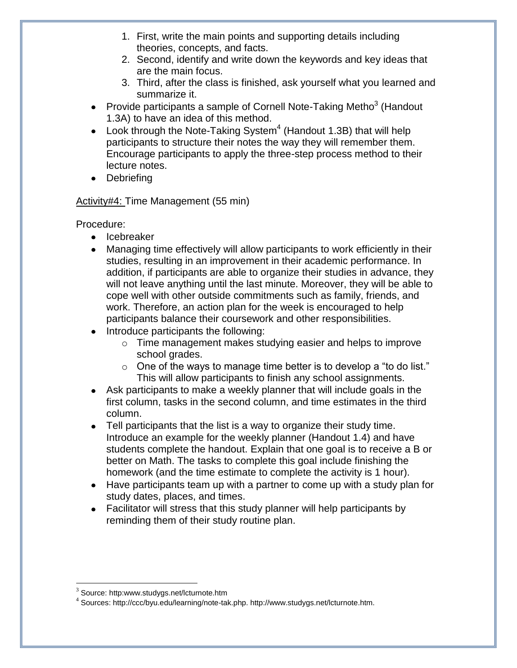- 1. First, write the main points and supporting details including theories, concepts, and facts.
- 2. Second, identify and write down the keywords and key ideas that are the main focus.
- 3. Third, after the class is finished, ask yourself what you learned and summarize it.
- Provide participants a sample of Cornell Note-Taking Metho<sup>3</sup> (Handout 1.3A) to have an idea of this method.
- Look through the Note-Taking System $^4$  (Handout 1.3B) that will help participants to structure their notes the way they will remember them. Encourage participants to apply the three-step process method to their lecture notes.
- Debriefing

## Activity#4: Time Management (55 min)

Procedure:

- Icebreaker
- Managing time effectively will allow participants to work efficiently in their studies, resulting in an improvement in their academic performance. In addition, if participants are able to organize their studies in advance, they will not leave anything until the last minute. Moreover, they will be able to cope well with other outside commitments such as family, friends, and work. Therefore, an action plan for the week is encouraged to help participants balance their coursework and other responsibilities.
- Introduce participants the following:
	- o Time management makes studying easier and helps to improve school grades.
	- $\circ$  One of the ways to manage time better is to develop a "to do list." This will allow participants to finish any school assignments.
- Ask participants to make a weekly planner that will include goals in the first column, tasks in the second column, and time estimates in the third column.
- Tell participants that the list is a way to organize their study time. Introduce an example for the weekly planner (Handout 1.4) and have students complete the handout. Explain that one goal is to receive a B or better on Math. The tasks to complete this goal include finishing the homework (and the time estimate to complete the activity is 1 hour).
- Have participants team up with a partner to come up with a study plan for study dates, places, and times.
- Facilitator will stress that this study planner will help participants by reminding them of their study routine plan.

 $3$  Source: http:www.studygs.net/lcturnote.htm

<sup>4</sup> Sources: http://ccc/byu.edu/learning/note-tak.php. http://www.studygs.net/lcturnote.htm.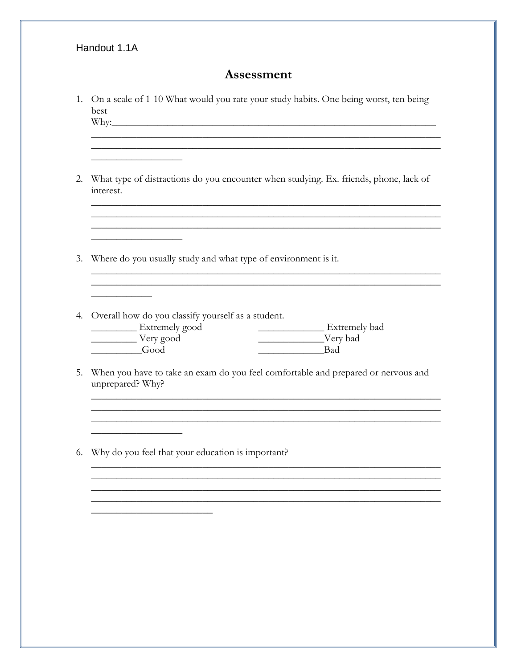#### Handout 1.1A

#### Assessment

- 1. On a scale of 1-10 What would you rate your study habits. One being worst, ten being best  $Why:$
- 2. What type of distractions do you encounter when studying. Ex. friends, phone, lack of interest.

<u> 1989 - Johann Stoff, deutscher Stoff, der Stoff, der Stoff, der Stoff, der Stoff, der Stoff, der Stoff, der S</u>

- 3. Where do you usually study and what type of environment is it.
- 4. Overall how do you classify yourself as a student. Extremely bad Extremely good Very good Very bad Good **Example 1**
- 5. When you have to take an exam do you feel comfortable and prepared or nervous and unprepared? Why?

<u> 1980 - Jan Sterling von de Sterling von de Sterling von de Sterling von de Sterling von de Sterling von de S</u>

<u> 1989 - Johann Barbara, martxa alemaniar amerikan basar da a</u>

6. Why do you feel that your education is important?

<u> 2002 - Johann Stone, mars et al.</u>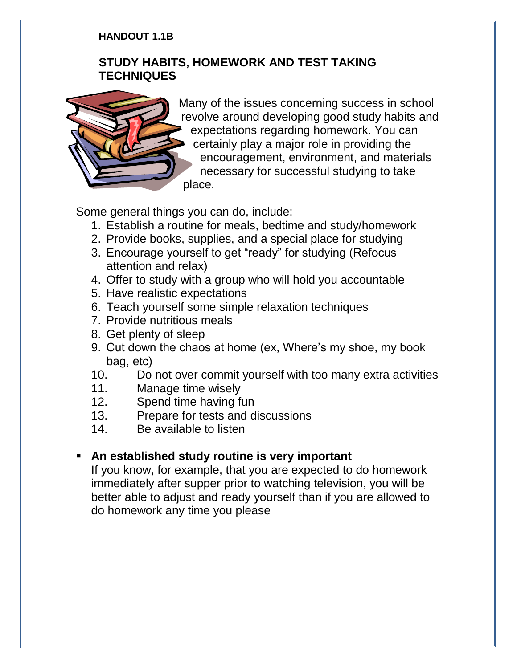## **HANDOUT 1.1B**

# **STUDY HABITS, HOMEWORK AND TEST TAKING TECHNIQUES**



Many of the issues concerning success in school revolve around developing good study habits and expectations regarding homework. You can certainly play a major role in providing the encouragement, environment, and materials necessary for successful studying to take place.

Some general things you can do, include:

- 1. Establish a routine for meals, bedtime and study/homework
- 2. Provide books, supplies, and a special place for studying
- 3. Encourage yourself to get "ready" for studying (Refocus attention and relax)
- 4. Offer to study with a group who will hold you accountable
- 5. Have realistic expectations
- 6. Teach yourself some simple relaxation techniques
- 7. Provide nutritious meals
- 8. Get plenty of sleep
- 9. Cut down the chaos at home (ex, Where's my shoe, my book bag, etc)
- 10. Do not over commit yourself with too many extra activities
- 11. Manage time wisely
- 12. Spend time having fun
- 13. Prepare for tests and discussions
- 14. Be available to listen

# **An established study routine is very important**

If you know, for example, that you are expected to do homework immediately after supper prior to watching television, you will be better able to adjust and ready yourself than if you are allowed to do homework any time you please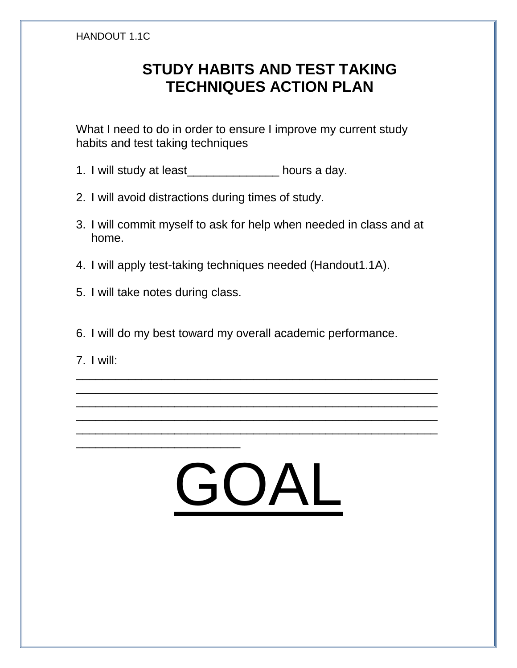#### HANDOUT 1.1C

# **STUDY HABITS AND TEST TAKING TECHNIQUES ACTION PLAN**

What I need to do in order to ensure I improve my current study habits and test taking techniques

- 1. I will study at least\_\_\_\_\_\_\_\_\_\_\_\_\_\_ hours a day.
- 2. I will avoid distractions during times of study.
- 3. I will commit myself to ask for help when needed in class and at home.
- 4. I will apply test-taking techniques needed (Handout1.1A).
- 5. I will take notes during class.

\_\_\_\_\_\_\_\_\_\_\_\_\_\_\_\_\_\_\_\_\_\_\_\_\_

- 6. I will do my best toward my overall academic performance.
- 7. I will:



\_\_\_\_\_\_\_\_\_\_\_\_\_\_\_\_\_\_\_\_\_\_\_\_\_\_\_\_\_\_\_\_\_\_\_\_\_\_\_\_\_\_\_\_\_\_\_\_\_\_\_\_\_\_\_ \_\_\_\_\_\_\_\_\_\_\_\_\_\_\_\_\_\_\_\_\_\_\_\_\_\_\_\_\_\_\_\_\_\_\_\_\_\_\_\_\_\_\_\_\_\_\_\_\_\_\_\_\_\_\_ \_\_\_\_\_\_\_\_\_\_\_\_\_\_\_\_\_\_\_\_\_\_\_\_\_\_\_\_\_\_\_\_\_\_\_\_\_\_\_\_\_\_\_\_\_\_\_\_\_\_\_\_\_\_\_ \_\_\_\_\_\_\_\_\_\_\_\_\_\_\_\_\_\_\_\_\_\_\_\_\_\_\_\_\_\_\_\_\_\_\_\_\_\_\_\_\_\_\_\_\_\_\_\_\_\_\_\_\_\_\_ \_\_\_\_\_\_\_\_\_\_\_\_\_\_\_\_\_\_\_\_\_\_\_\_\_\_\_\_\_\_\_\_\_\_\_\_\_\_\_\_\_\_\_\_\_\_\_\_\_\_\_\_\_\_\_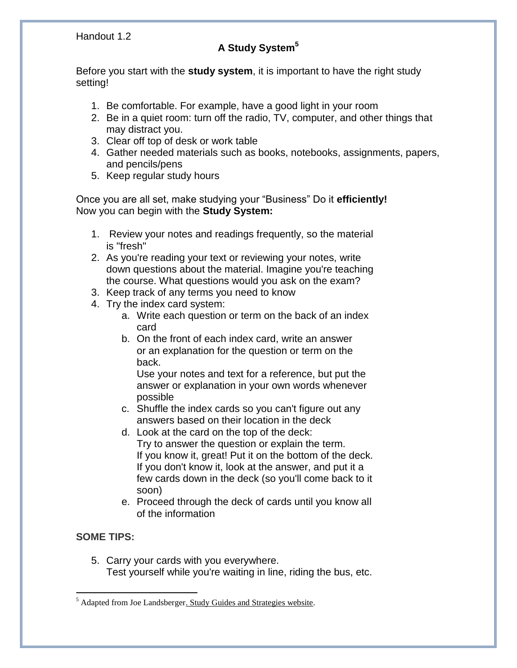Handout 1.2

# **A Study System<sup>5</sup>**

Before you start with the **study system**, it is important to have the right study setting!

- 1. Be comfortable. For example, have a good light in your room
- 2. Be in a quiet room: turn off the radio, TV, computer, and other things that may distract you.
- 3. Clear off top of desk or work table
- 4. Gather needed materials such as books, notebooks, assignments, papers, and pencils/pens
- 5. Keep regular study hours

Once you are all set, make studying your "Business" Do it **efficiently!** Now you can begin with the **Study System:**

- 1. Review your notes and readings frequently, so the material is "fresh"
- 2. As you're reading your text or reviewing your notes, write down questions about the material. Imagine you're teaching the course. What questions would you ask on the exam?
- 3. Keep track of any terms you need to know
- 4. Try the index card system:
	- a. Write each question or term on the back of an index card
	- b. On the front of each index card, write an answer or an explanation for the question or term on the back.

Use your notes and text for a reference, but put the answer or explanation in your own words whenever possible

- c. Shuffle the index cards so you can't figure out any answers based on their location in the deck
- d. Look at the card on the top of the deck: Try to answer the question or explain the term. If you know it, great! Put it on the bottom of the deck. If you don't know it, look at the answer, and put it a few cards down in the deck (so you'll come back to it soon)
- e. Proceed through the deck of cards until you know all of the information

## **SOME TIPS:**

 $\overline{a}$ 

5. Carry your cards with you everywhere. Test yourself while you're waiting in line, riding the bus, etc.

<sup>&</sup>lt;sup>5</sup> Adapted from Joe Landsberger. Study Guides and Strategies website.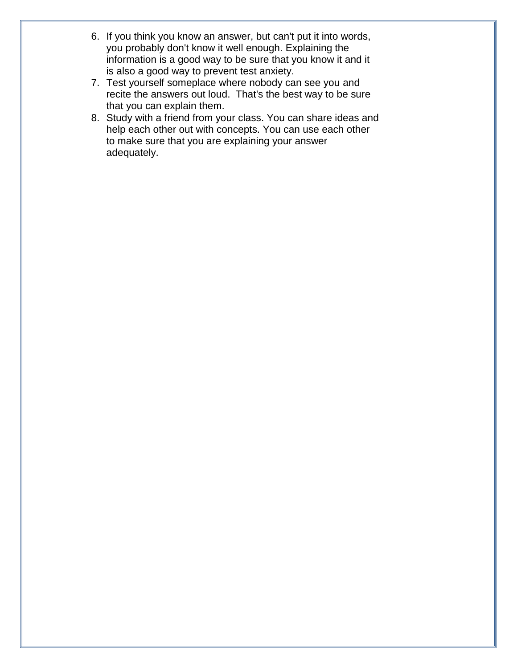- 6. If you think you know an answer, but can't put it into words, you probably don't know it well enough. Explaining the information is a good way to be sure that you know it and it is also a good way to prevent test anxiety.
- 7. Test yourself someplace where nobody can see you and recite the answers out loud. That's the best way to be sure that you can explain them.
- 8. Study with a friend from your class. You can share ideas and help each other out with concepts. You can use each other to make sure that you are explaining your answer adequately.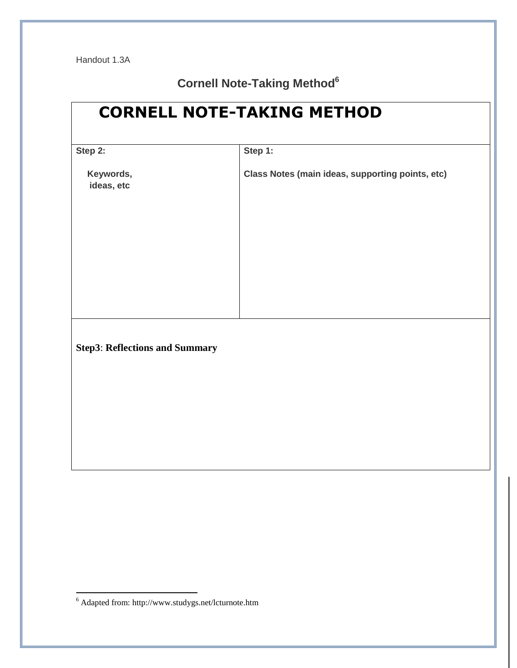# **Cornell Note-Taking Method<sup>6</sup>**

| <b>CORNELL NOTE-TAKING METHOD</b>     |                                                  |  |
|---------------------------------------|--------------------------------------------------|--|
| Step 2:                               | Step 1:                                          |  |
| Keywords,<br>ideas, etc               | Class Notes (main ideas, supporting points, etc) |  |
|                                       |                                                  |  |
| <b>Step3: Reflections and Summary</b> |                                                  |  |
|                                       |                                                  |  |

 $6$  Adapted from: http://www.studygs.net/lcturnote.htm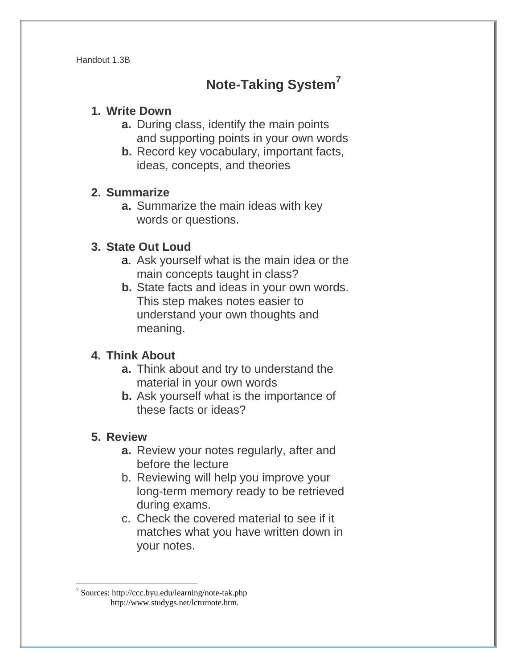Handout 1.3B

# **Note-Taking System<sup>7</sup>**

## **1. Write Down**

- **a.** During class, identify the main points and supporting points in your own words
- **b.** Record key vocabulary, important facts, ideas, concepts, and theories

## **2. Summarize**

**a.** Summarize the main ideas with key words or questions.

# **3. State Out Loud**

- a. Ask yourself what is the main idea or the main concepts taught in class?
- **b.** State facts and ideas in your own words. This step makes notes easier to understand your own thoughts and meaning.

# **4. Think About**

- **a.** Think about and try to understand the material in your own words
- **b.** Ask yourself what is the importance of these facts or ideas?

# **5. Review**

- **a.** Review your notes regularly, after and before the lecture
- b. Reviewing will help you improve your long-term memory ready to be retrieved during exams.
- c. Check the covered material to see if it matches what you have written down in your notes.

<sup>7</sup> Sources: http://ccc.byu.edu/learning/note-tak.php http://www.studygs.net/lcturnote.htm.